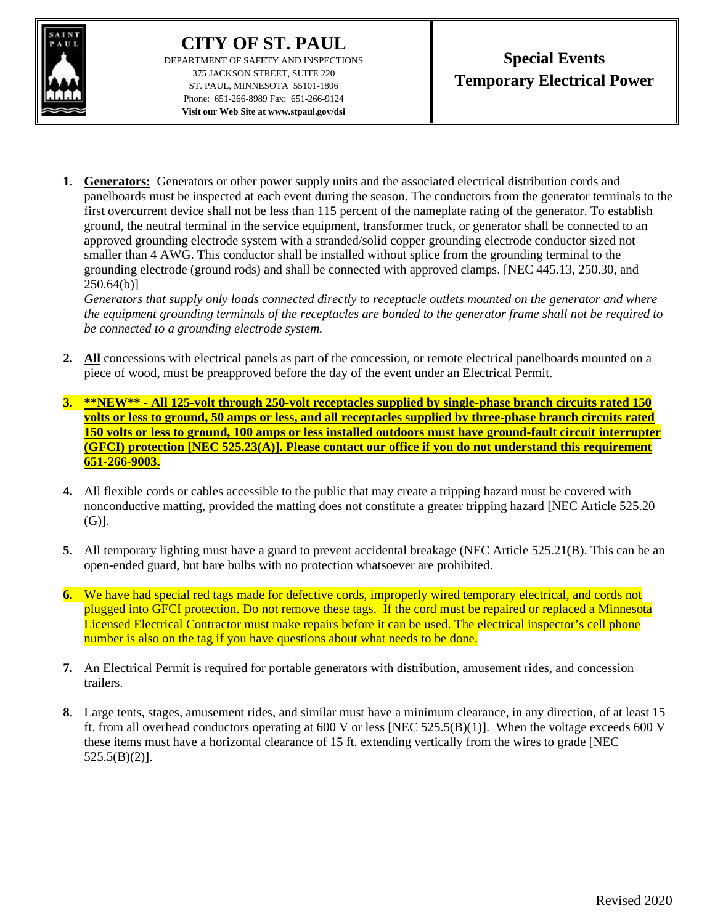

## **CITY OF ST. PAUL**

DEPARTMENT OF SAFETY AND INSPECTIONS 375 JACKSON STREET, SUITE 220 ST. PAUL, MINNESOTA 55101-1806 Phone: 651-266-8989 Fax: 651-266-9124 **Visit our Web Site at www.stpaul.gov/dsi**

**1. Generators:** Generators or other power supply units and the associated electrical distribution cords and panelboards must be inspected at each event during the season. The conductors from the generator terminals to the first overcurrent device shall not be less than 115 percent of the nameplate rating of the generator. To establish ground, the neutral terminal in the service equipment, transformer truck, or generator shall be connected to an approved grounding electrode system with a stranded/solid copper grounding electrode conductor sized not smaller than 4 AWG. This conductor shall be installed without splice from the grounding terminal to the grounding electrode (ground rods) and shall be connected with approved clamps. [NEC 445.13, 250.30, and 250.64(b)]

*Generators that supply only loads connected directly to receptacle outlets mounted on the generator and where the equipment grounding terminals of the receptacles are bonded to the generator frame shall not be required to be connected to a grounding electrode system.*

- **2. All** concessions with electrical panels as part of the concession, or remote electrical panelboards mounted on a piece of wood, must be preapproved before the day of the event under an Electrical Permit.
- **3. \*\*NEW\*\* - All 125-volt through 250-volt receptacles supplied by single-phase branch circuits rated 150 volts or less to ground, 50 amps or less, and all receptacles supplied by three-phase branch circuits rated 150 volts or less to ground, 100 amps or less installed outdoors must have ground-fault circuit interrupter (GFCI) protection [NEC 525.23(A)]. Please contact our office if you do not understand this requirement 651-266-9003.**
- **4.** All flexible cords or cables accessible to the public that may create a tripping hazard must be covered with nonconductive matting, provided the matting does not constitute a greater tripping hazard [NEC Article 525.20 (G)].
- **5.** All temporary lighting must have a guard to prevent accidental breakage (NEC Article 525.21(B). This can be an open-ended guard, but bare bulbs with no protection whatsoever are prohibited.
- **6.** We have had special red tags made for defective cords, improperly wired temporary electrical, and cords not plugged into GFCI protection. Do not remove these tags. If the cord must be repaired or replaced a Minnesota Licensed Electrical Contractor must make repairs before it can be used. The electrical inspector's cell phone number is also on the tag if you have questions about what needs to be done.
- **7.** An Electrical Permit is required for portable generators with distribution, amusement rides, and concession trailers.
- **8.** Large tents, stages, amusement rides, and similar must have a minimum clearance, in any direction, of at least 15 ft. from all overhead conductors operating at 600 V or less [NEC 525.5(B)(1)]. When the voltage exceeds 600 V these items must have a horizontal clearance of 15 ft. extending vertically from the wires to grade [NEC  $525.5(B)(2)$ ].